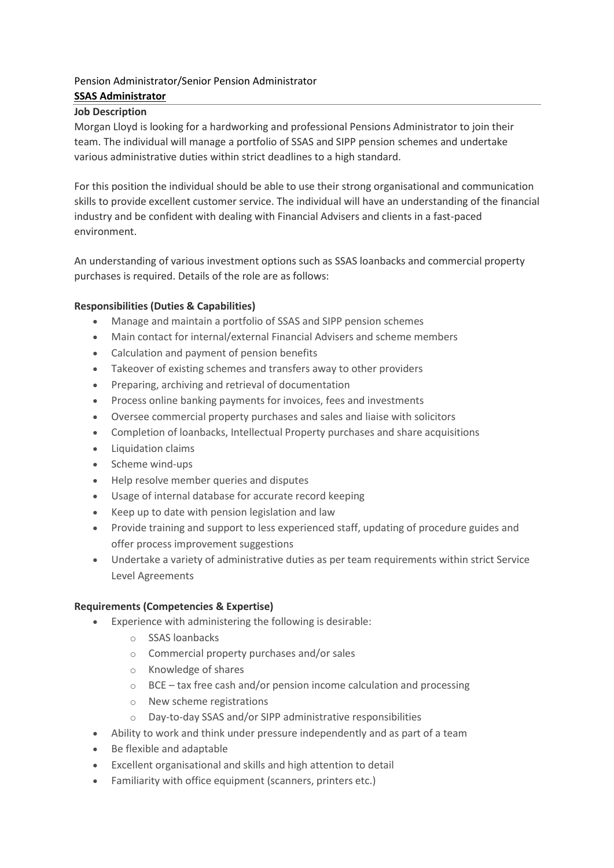# Pension Administrator/Senior Pension Administrator **SSAS Administrator**

## **Job Description**

Morgan Lloyd is looking for a hardworking and professional Pensions Administrator to join their team. The individual will manage a portfolio of SSAS and SIPP pension schemes and undertake various administrative duties within strict deadlines to a high standard.

For this position the individual should be able to use their strong organisational and communication skills to provide excellent customer service. The individual will have an understanding of the financial industry and be confident with dealing with Financial Advisers and clients in a fast-paced environment.

An understanding of various investment options such as SSAS loanbacks and commercial property purchases is required. Details of the role are as follows:

# **Responsibilities (Duties & Capabilities)**

- Manage and maintain a portfolio of SSAS and SIPP pension schemes
- Main contact for internal/external Financial Advisers and scheme members
- Calculation and payment of pension benefits
- Takeover of existing schemes and transfers away to other providers
- Preparing, archiving and retrieval of documentation
- Process online banking payments for invoices, fees and investments
- Oversee commercial property purchases and sales and liaise with solicitors
- Completion of loanbacks, Intellectual Property purchases and share acquisitions
- Liquidation claims
- Scheme wind-ups
- Help resolve member queries and disputes
- Usage of internal database for accurate record keeping
- Keep up to date with pension legislation and law
- Provide training and support to less experienced staff, updating of procedure guides and offer process improvement suggestions
- Undertake a variety of administrative duties as per team requirements within strict Service Level Agreements

#### **Requirements (Competencies & Expertise)**

- Experience with administering the following is desirable:
	- o SSAS loanbacks
	- o Commercial property purchases and/or sales
	- o Knowledge of shares
	- o BCE tax free cash and/or pension income calculation and processing
	- o New scheme registrations
	- o Day-to-day SSAS and/or SIPP administrative responsibilities
- Ability to work and think under pressure independently and as part of a team
- Be flexible and adaptable
- Excellent organisational and skills and high attention to detail
- Familiarity with office equipment (scanners, printers etc.)